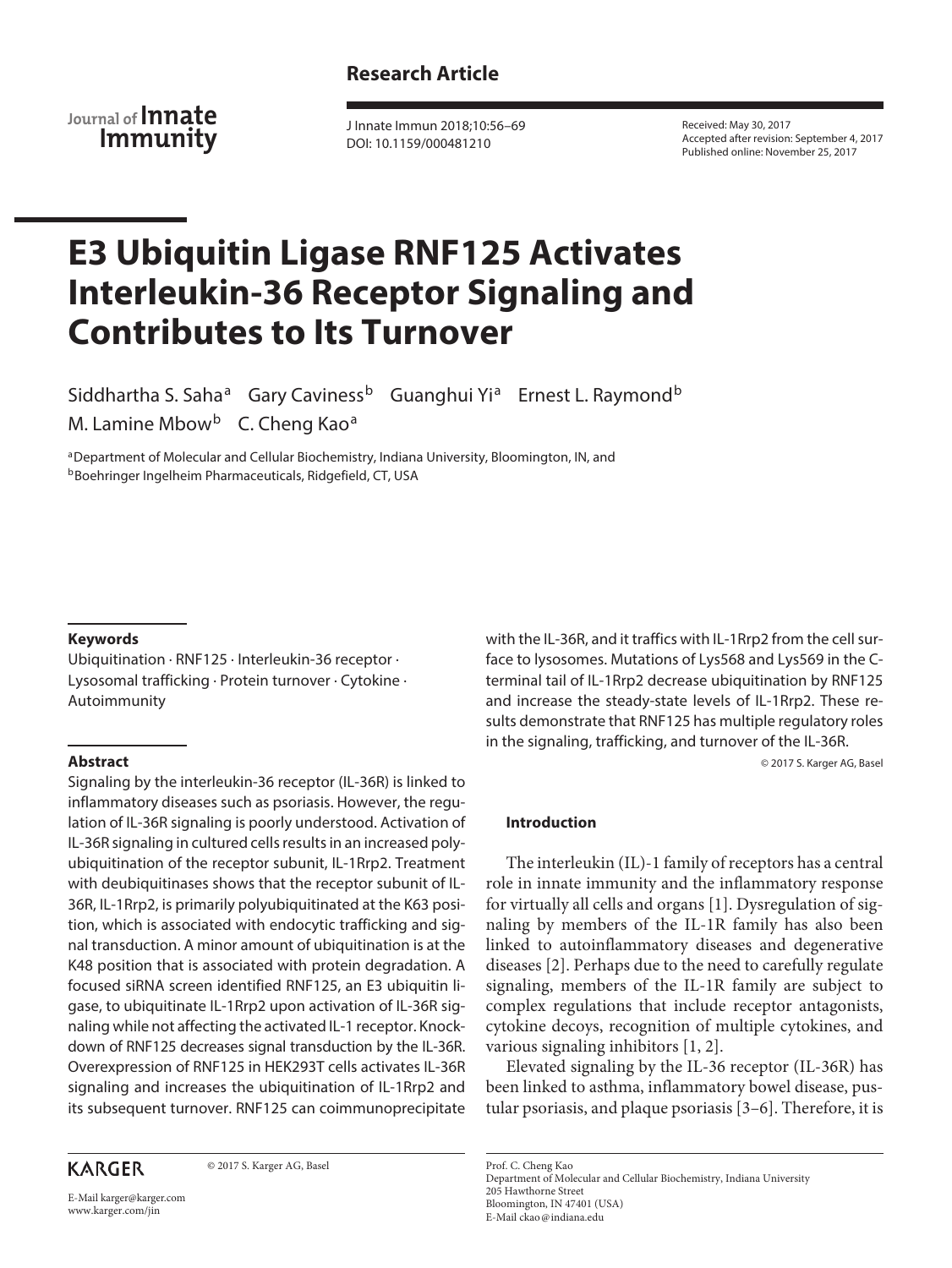# **Research Article**

**Journal of Innate Immunity**

J Innate Immun 2018;10:56–69 DOI: 10.1159/000481210

Received: May 30, 2017 Accepted after revision: September 4, 2017 Published online: November 25, 2017

# **E3 Ubiquitin Ligase RNF125 Activates Interleukin-36 Receptor Signaling and Contributes to Its Turnover**

Siddhartha S. Saha<sup>a</sup> Gary Caviness<sup>b</sup> Guanghui Yi<sup>a</sup> Ernest L. Raymond<sup>b</sup> M. Lamine Mbow<sup>b</sup> C. Cheng Kao<sup>a</sup>

aDepartment of Molecular and Cellular Biochemistry, Indiana University, Bloomington, IN, and **bBoehringer Ingelheim Pharmaceuticals, Ridgefield, CT, USA** 

## **Keywords**

Ubiquitination · RNF125 · Interleukin-36 receptor · Lysosomal trafficking · Protein turnover · Cytokine · Autoimmunity

## **Abstract**

Signaling by the interleukin-36 receptor (IL-36R) is linked to inflammatory diseases such as psoriasis. However, the regulation of IL-36R signaling is poorly understood. Activation of IL-36R signaling in cultured cells results in an increased polyubiquitination of the receptor subunit, IL-1Rrp2. Treatment with deubiquitinases shows that the receptor subunit of IL-36R, IL-1Rrp2, is primarily polyubiquitinated at the K63 position, which is associated with endocytic trafficking and signal transduction. A minor amount of ubiquitination is at the K48 position that is associated with protein degradation. A focused siRNA screen identified RNF125, an E3 ubiquitin ligase, to ubiquitinate IL-1Rrp2 upon activation of IL-36R signaling while not affecting the activated IL-1 receptor. Knockdown of RNF125 decreases signal transduction by the IL-36R. Overexpression of RNF125 in HEK293T cells activates IL-36R signaling and increases the ubiquitination of IL-1Rrp2 and its subsequent turnover. RNF125 can coimmunoprecipitate

# **KARGER**

© 2017 S. Karger AG, Basel

E-Mail karger@karger.com www.karger.com/jin

with the IL-36R, and it traffics with IL-1Rrp2 from the cell surface to lysosomes. Mutations of Lys568 and Lys569 in the Cterminal tail of IL-1Rrp2 decrease ubiquitination by RNF125 and increase the steady-state levels of IL-1Rrp2. These results demonstrate that RNF125 has multiple regulatory roles in the signaling, trafficking, and turnover of the IL-36R.

© 2017 S. Karger AG, Basel

#### **Introduction**

The interleukin (IL)-1 family of receptors has a central role in innate immunity and the inflammatory response for virtually all cells and organs [1]. Dysregulation of signaling by members of the IL-1R family has also been linked to autoinflammatory diseases and degenerative diseases [2]. Perhaps due to the need to carefully regulate signaling, members of the IL-1R family are subject to complex regulations that include receptor antagonists, cytokine decoys, recognition of multiple cytokines, and various signaling inhibitors [1, 2].

Elevated signaling by the IL-36 receptor (IL-36R) has been linked to asthma, inflammatory bowel disease, pustular psoriasis, and plaque psoriasis [3–6]. Therefore, it is

Prof. C. Cheng Kao Department of Molecular and Cellular Biochemistry, Indiana University 205 Hawthorne Street Bloomington, IN 47401 (USA) E-Mail ckao@indiana.edu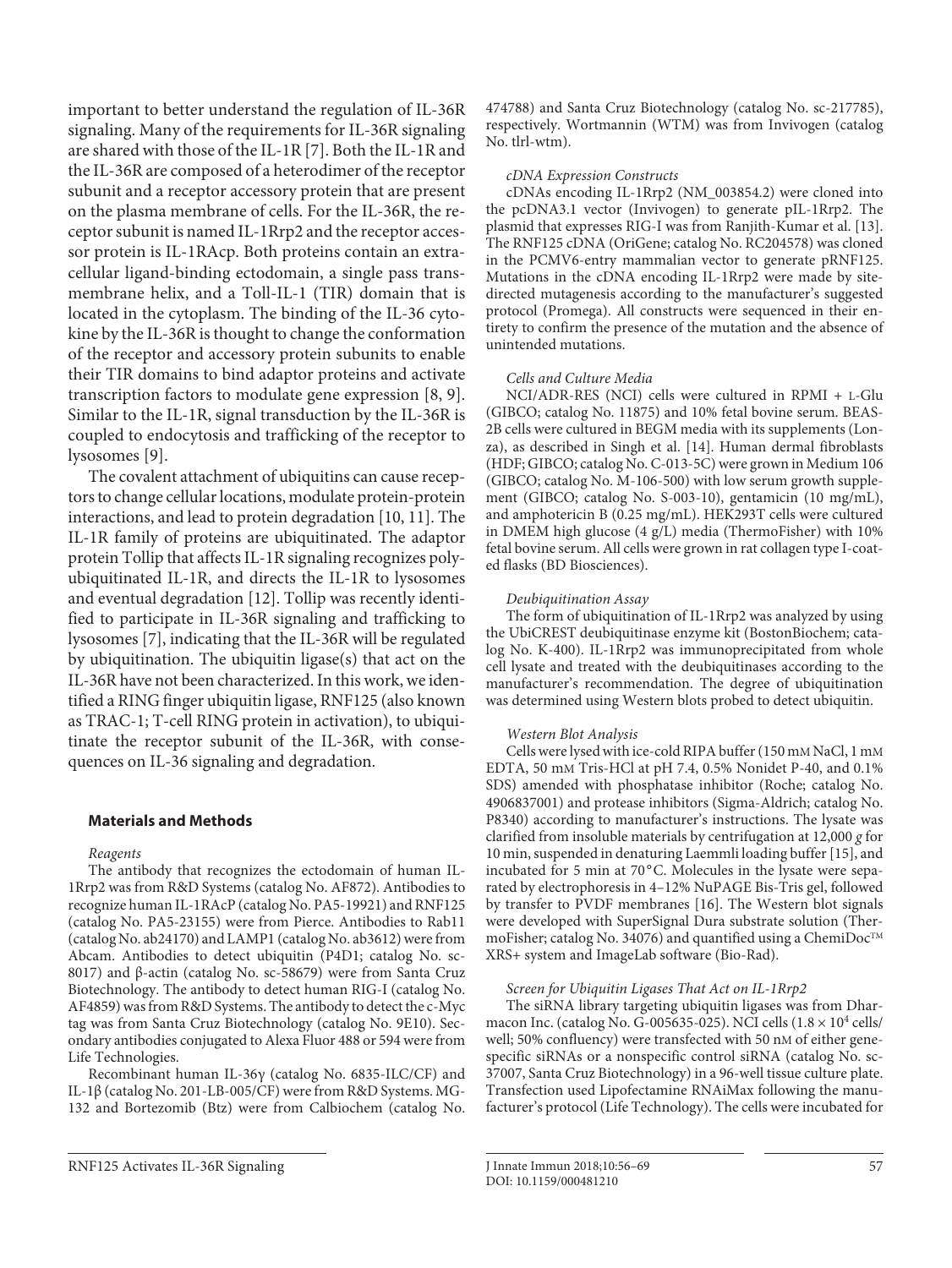important to better understand the regulation of IL-36R signaling. Many of the requirements for IL-36R signaling are shared with those of the IL-1R [7]. Both the IL-1R and the IL-36R are composed of a heterodimer of the receptor subunit and a receptor accessory protein that are present on the plasma membrane of cells. For the IL-36R, the receptor subunit is named IL-1Rrp2 and the receptor accessor protein is IL-1RAcp. Both proteins contain an extracellular ligand-binding ectodomain, a single pass transmembrane helix, and a Toll-IL-1 (TIR) domain that is located in the cytoplasm. The binding of the IL-36 cytokine by the IL-36R is thought to change the conformation of the receptor and accessory protein subunits to enable their TIR domains to bind adaptor proteins and activate transcription factors to modulate gene expression [8, 9]. Similar to the IL-1R, signal transduction by the IL-36R is coupled to endocytosis and trafficking of the receptor to lysosomes [9].

The covalent attachment of ubiquitins can cause receptors to change cellular locations, modulate protein-protein interactions, and lead to protein degradation [10, 11]. The IL-1R family of proteins are ubiquitinated. The adaptor protein Tollip that affects IL-1R signaling recognizes polyubiquitinated IL-1R, and directs the IL-1R to lysosomes and eventual degradation [12]. Tollip was recently identified to participate in IL-36R signaling and trafficking to lysosomes [7], indicating that the IL-36R will be regulated by ubiquitination. The ubiquitin ligase(s) that act on the IL-36R have not been characterized. In this work, we identified a RING finger ubiquitin ligase, RNF125 (also known as TRAC-1; T-cell RING protein in activation), to ubiquitinate the receptor subunit of the IL-36R, with consequences on IL-36 signaling and degradation.

## **Materials and Methods**

#### Reagents

The antibody that recognizes the ectodomain of human IL-1Rrp2 was from R&D Systems (catalog No. AF872). Antibodies to recognize human IL-1RAcP (catalog No. PA5-19921) and RNF125 (catalog No. PA5-23155) were from Pierce. Antibodies to Rab11 (catalog No. ab24170) and LAMP1 (catalog No. ab3612) were from Abcam. Antibodies to detect ubiquitin (P4D1; catalog No. sc-8017) and β-actin (catalog No. sc-58679) were from Santa Cruz Biotechnology. The antibody to detect human RIG-I (catalog No. AF4859) was from R&D Systems. The antibody to detect the c-Myc tag was from Santa Cruz Biotechnology (catalog No. 9E10). Secondary antibodies conjugated to Alexa Fluor 488 or 594 were from Life Technologies.

Recombinant human IL-36γ (catalog No. 6835-ILC/CF) and IL-1β (catalog No. 201-LB-005/CF) were from R&D Systems. MG-132 and Bortezomib (Btz) were from Calbiochem (catalog No. 474788) and Santa Cruz Biotechnology (catalog No. sc-217785), respectively. Wortmannin (WTM) was from Invivogen (catalog No. tlrl-wtm).

#### cDNA Expression Constructs

cDNAs encoding IL-1Rrp2 (NM\_003854.2) were cloned into the pcDNA3.1 vector (Invivogen) to generate pIL-1Rrp2. The plasmid that expresses RIG-I was from Ranjith-Kumar et al. [13]. The RNF125 cDNA (OriGene; catalog No. RC204578) was cloned in the PCMV6-entry mammalian vector to generate pRNF125. Mutations in the cDNA encoding IL-1Rrp2 were made by sitedirected mutagenesis according to the manufacturer's suggested protocol (Promega). All constructs were sequenced in their entirety to confirm the presence of the mutation and the absence of unintended mutations.

#### Cells and Culture Media

NCI/ADR-RES (NCI) cells were cultured in RPMI + L-Glu (GIBCO; catalog No. 11875) and 10% fetal bovine serum. BEAS-2B cells were cultured in BEGM media with its supplements (Lonza), as described in Singh et al. [14]. Human dermal fibroblasts (HDF; GIBCO; catalog No. C-013-5C) were grown in Medium 106 (GIBCO; catalog No. M-106-500) with low serum growth supplement (GIBCO; catalog No. S-003-10), gentamicin (10 mg/mL), and amphotericin B (0.25 mg/mL). HEK293T cells were cultured in DMEM high glucose (4 g/L) media (ThermoFisher) with 10% fetal bovine serum. All cells were grown in rat collagen type I-coated flasks (BD Biosciences).

#### Deubiquitination Assay

The form of ubiquitination of IL-1Rrp2 was analyzed by using the UbiCREST deubiquitinase enzyme kit (BostonBiochem; catalog No. K-400). IL-1Rrp2 was immunoprecipitated from whole cell lysate and treated with the deubiquitinases according to the manufacturer's recommendation. The degree of ubiquitination was determined using Western blots probed to detect ubiquitin.

#### Western Blot Analysis

Cells were lysed with ice-cold RIPA buffer (150 mM NaCl, 1 mM EDTA, 50 mM Tris-HCl at pH 7.4, 0.5% Nonidet P-40, and 0.1% SDS) amended with phosphatase inhibitor (Roche; catalog No. 4906837001) and protease inhibitors (Sigma-Aldrich; catalog No. P8340) according to manufacturer's instructions. The lysate was clarified from insoluble materials by centrifugation at 12,000 g for 10 min, suspended in denaturing Laemmli loading buffer [15], and incubated for 5 min at 70°C. Molecules in the lysate were separated by electrophoresis in 4–12% NuPAGE Bis-Tris gel, followed by transfer to PVDF membranes [16]. The Western blot signals were developed with SuperSignal Dura substrate solution (ThermoFisher; catalog No. 34076) and quantified using a ChemiDoc™ XRS+ system and ImageLab software (Bio-Rad).

#### Screen for Ubiquitin Ligases That Act on IL-1Rrp2

The siRNA library targeting ubiquitin ligases was from Dharmacon Inc. (catalog No. G-005635-025). NCI cells  $(1.8 \times 10^4 \text{ cells})$ well; 50% confluency) were transfected with 50 nM of either genespecific siRNAs or a nonspecific control siRNA (catalog No. sc-37007, Santa Cruz Biotechnology) in a 96-well tissue culture plate. Transfection used Lipofectamine RNAiMax following the manufacturer's protocol (Life Technology). The cells were incubated for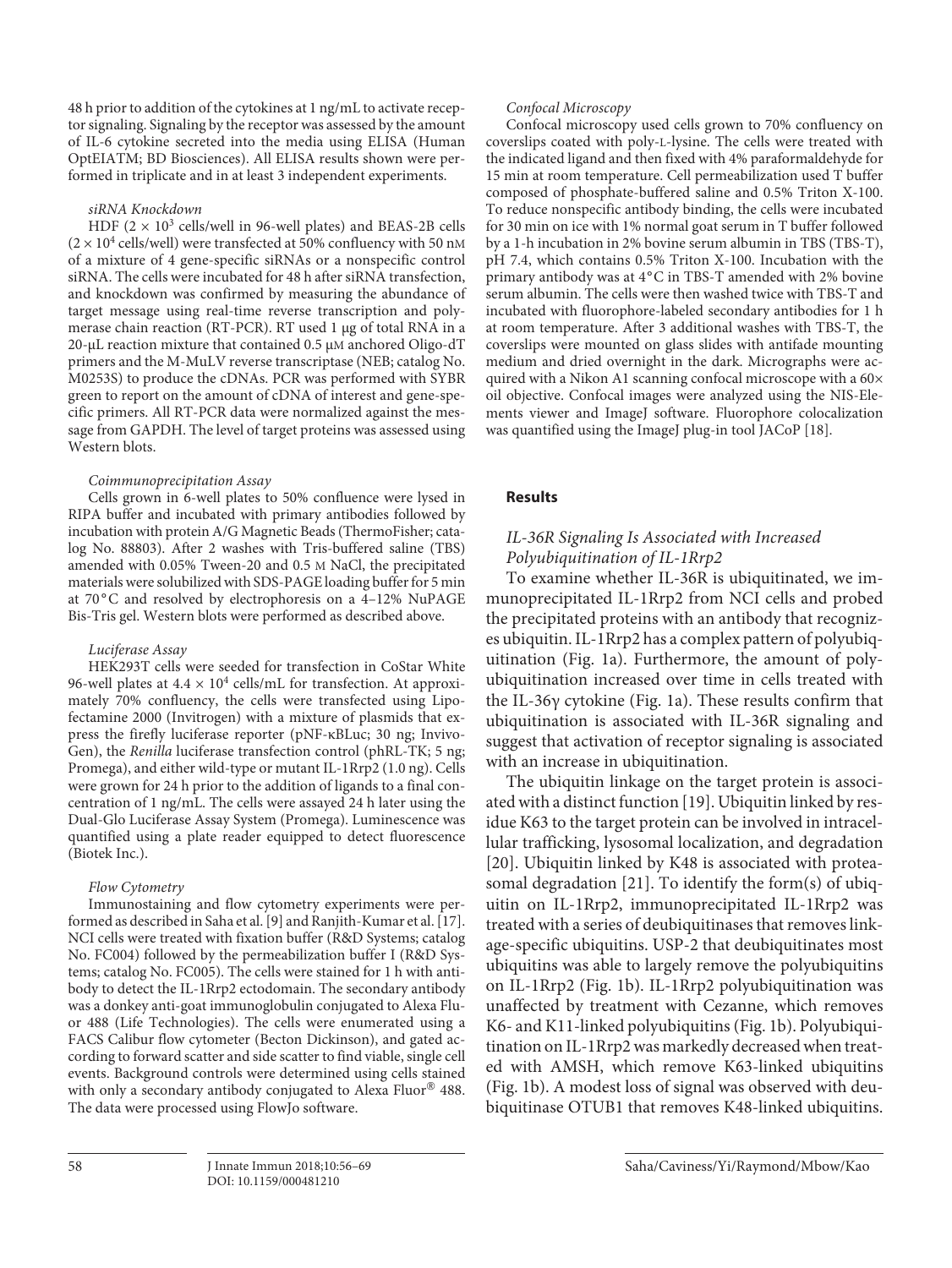48 h prior to addition of the cytokines at 1 ng/mL to activate receptor signaling. Signaling by the receptor was assessed by the amount of IL-6 cytokine secreted into the media using ELISA (Human OptEIATM; BD Biosciences). All ELISA results shown were performed in triplicate and in at least 3 independent experiments.

#### siRNA Knockdown

HDF  $(2 \times 10^3 \text{ cells/well in 96-well plates})$  and BEAS-2B cells  $(2 \times 10^4$  cells/well) were transfected at 50% confluency with 50 nM of a mixture of 4 gene-specific siRNAs or a nonspecific control siRNA. The cells were incubated for 48 h after siRNA transfection, and knockdown was confirmed by measuring the abundance of target message using real-time reverse transcription and polymerase chain reaction (RT-PCR). RT used 1 μg of total RNA in a 20-μL reaction mixture that contained 0.5 μM anchored Oligo-dT primers and the M-MuLV reverse transcriptase (NEB; catalog No. M0253S) to produce the cDNAs. PCR was performed with SYBR green to report on the amount of cDNA of interest and gene-specific primers. All RT-PCR data were normalized against the message from GAPDH. The level of target proteins was assessed using Western blots.

#### Coimmunoprecipitation Assay

Cells grown in 6-well plates to 50% confluence were lysed in RIPA buffer and incubated with primary antibodies followed by incubation with protein A/G Magnetic Beads (ThermoFisher; catalog No. 88803). After 2 washes with Tris-buffered saline (TBS) amended with 0.05% Tween-20 and 0.5 M NaCl, the precipitated materials were solubilized with SDS-PAGE loading buffer for 5 min at 70°C and resolved by electrophoresis on a 4–12% NuPAGE Bis-Tris gel. Western blots were performed as described above.

#### Luciferase Assay

HEK293T cells were seeded for transfection in CoStar White 96-well plates at  $4.4 \times 10^4$  cells/mL for transfection. At approximately 70% confluency, the cells were transfected using Lipofectamine 2000 (Invitrogen) with a mixture of plasmids that express the firefly luciferase reporter (pNF-κBLuc; 30 ng; Invivo-Gen), the Renilla luciferase transfection control (phRL-TK; 5 ng; Promega), and either wild-type or mutant IL-1Rrp2 (1.0 ng). Cells were grown for 24 h prior to the addition of ligands to a final concentration of 1 ng/mL. The cells were assayed 24 h later using the Dual-Glo Luciferase Assay System (Promega). Luminescence was quantified using a plate reader equipped to detect fluorescence (Biotek Inc.).

#### Flow Cytometry

Immunostaining and flow cytometry experiments were performed as described in Saha et al. [9] and Ranjith-Kumar et al. [17]. NCI cells were treated with fixation buffer (R&D Systems; catalog No. FC004) followed by the permeabilization buffer I (R&D Systems; catalog No. FC005). The cells were stained for 1 h with antibody to detect the IL-1Rrp2 ectodomain. The secondary antibody was a donkey anti-goat immunoglobulin conjugated to Alexa Fluor 488 (Life Technologies). The cells were enumerated using a FACS Calibur flow cytometer (Becton Dickinson), and gated according to forward scatter and side scatter to find viable, single cell events. Background controls were determined using cells stained with only a secondary antibody conjugated to Alexa Fluor® 488. The data were processed using FlowJo software.

#### Confocal Microscopy

Confocal microscopy used cells grown to 70% confluency on coverslips coated with poly-L-lysine. The cells were treated with the indicated ligand and then fixed with 4% paraformaldehyde for 15 min at room temperature. Cell permeabilization used T buffer composed of phosphate-buffered saline and 0.5% Triton X-100. To reduce nonspecific antibody binding, the cells were incubated for 30 min on ice with 1% normal goat serum in T buffer followed by a 1-h incubation in 2% bovine serum albumin in TBS (TBS-T), pH 7.4, which contains 0.5% Triton X-100. Incubation with the primary antibody was at 4°C in TBS-T amended with 2% bovine serum albumin. The cells were then washed twice with TBS-T and incubated with fluorophore-labeled secondary antibodies for 1 h at room temperature. After 3 additional washes with TBS-T, the coverslips were mounted on glass slides with antifade mounting medium and dried overnight in the dark. Micrographs were acquired with a Nikon A1 scanning confocal microscope with a 60× oil objective. Confocal images were analyzed using the NIS-Elements viewer and ImageJ software. Fluorophore colocalization was quantified using the ImageJ plug-in tool JACoP [18].

## **Results**

## IL-36R Signaling Is Associated with Increased Polyubiquitination of IL-1Rrp2

To examine whether IL-36R is ubiquitinated, we immunoprecipitated IL-1Rrp2 from NCI cells and probed the precipitated proteins with an antibody that recognizes ubiquitin. IL-1Rrp2 has a complex pattern of polyubiquitination (Fig. 1a). Furthermore, the amount of polyubiquitination increased over time in cells treated with the IL-36γ cytokine (Fig. 1a). These results confirm that ubiquitination is associated with IL-36R signaling and suggest that activation of receptor signaling is associated with an increase in ubiquitination.

The ubiquitin linkage on the target protein is associated with a distinct function [19]. Ubiquitin linked by residue K63 to the target protein can be involved in intracellular trafficking, lysosomal localization, and degradation [20]. Ubiquitin linked by K48 is associated with proteasomal degradation [21]. To identify the form(s) of ubiquitin on IL-1Rrp2, immunoprecipitated IL-1Rrp2 was treated with a series of deubiquitinases that removes linkage-specific ubiquitins. USP-2 that deubiquitinates most ubiquitins was able to largely remove the polyubiquitins on IL-1Rrp2 (Fig. 1b). IL-1Rrp2 polyubiquitination was unaffected by treatment with Cezanne, which removes K6- and K11-linked polyubiquitins (Fig. 1b). Polyubiquitination on IL-1Rrp2 was markedly decreased when treated with AMSH, which remove K63-linked ubiquitins (Fig. 1b). A modest loss of signal was observed with deubiquitinase OTUB1 that removes K48-linked ubiquitins.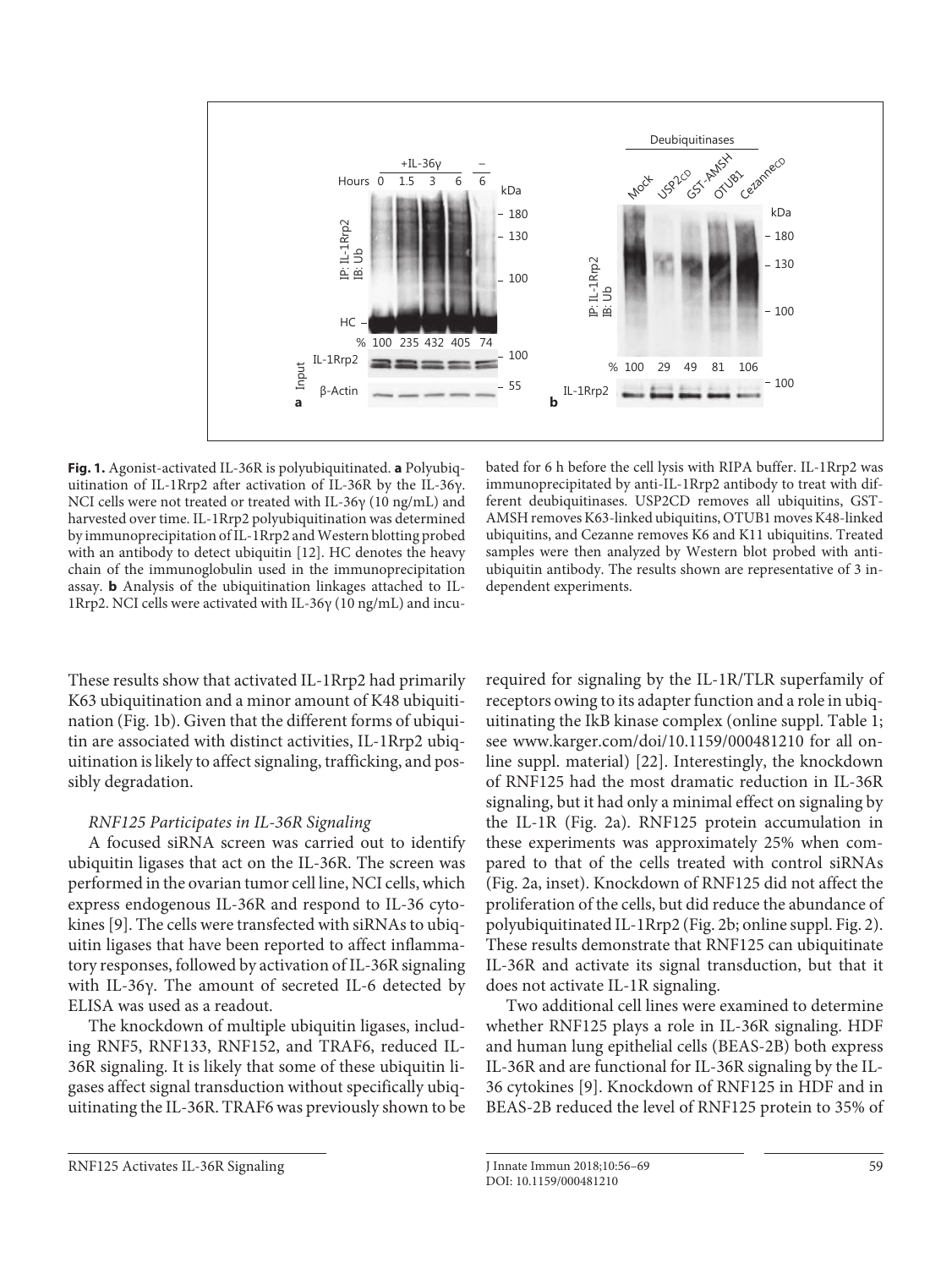

**Fig. 1.** Agonist-activated IL-36R is polyubiquitinated. **a** Polyubiquitination of IL-1Rrp2 after activation of IL-36R by the IL-36γ. NCI cells were not treated or treated with IL-36γ (10 ng/mL) and harvested over time. IL-1Rrp2 polyubiquitination was determined by immunoprecipitation of IL-1Rrp2 and Western blotting probed with an antibody to detect ubiquitin [12]. HC denotes the heavy chain of the immunoglobulin used in the immunoprecipitation assay. **b** Analysis of the ubiquitination linkages attached to IL-1Rrp2. NCI cells were activated with IL-36γ (10 ng/mL) and incu-

bated for 6 h before the cell lysis with RIPA buffer. IL-1Rrp2 was im munoprecipitated by anti-IL-1Rrp2 antibody to treat with different deubiquitinases. USP2CD removes all ubiquitins, GST-AMSH removes K63-linked ubiquitins, OTUB1 moves K48-linked ubiquitins, and Cezanne removes K6 and K11 ubiquitins. Treated samples were then analyzed by Western blot probed with antiubiquitin antibody. The results shown are representative of 3 independent experiments.

These results show that activated IL-1Rrp2 had primarily K63 ubiquitination and a minor amount of K48 ubiquitination (Fig. 1b). Given that the different forms of ubiquitin are associated with distinct activities, IL-1Rrp2 ubiquitination is likely to affect signaling, trafficking, and possibly degradation.

## RNF125 Participates in IL-36R Signaling

A focused siRNA screen was carried out to identify ubiquitin ligases that act on the IL-36R. The screen was performed in the ovarian tumor cell line, NCI cells, which express endogenous IL-36R and respond to IL-36 cytokines [9]. The cells were transfected with siRNAs to ubiquitin ligases that have been reported to affect inflammatory responses, followed by activation of IL-36R signaling with IL-36γ. The amount of secreted IL-6 detected by ELISA was used as a readout.

The knockdown of multiple ubiquitin ligases, including RNF5, RNF133, RNF152, and TRAF6, reduced IL-36R signaling. It is likely that some of these ubiquitin ligases affect signal transduction without specifically ubiquitinating the IL-36R. TRAF6 was previously shown to be required for signaling by the IL-1R/TLR superfamily of receptors owing to its adapter function and a role in ubiquitinating the IkB kinase complex (online suppl. Table 1; see www.karger.com/doi/10.1159/000481210 for all online suppl. material) [22]. Interestingly, the knockdown of RNF125 had the most dramatic reduction in IL-36R signaling, but it had only a minimal effect on signaling by the IL-1R (Fig. 2a). RNF125 protein accumulation in these experiments was approximately 25% when compared to that of the cells treated with control siRNAs (Fig. 2a, inset). Knockdown of RNF125 did not affect the proliferation of the cells, but did reduce the abundance of polyubiquitinated IL-1Rrp2 (Fig. 2b; online suppl. Fig. 2). These results demonstrate that RNF125 can ubiquitinate IL-36R and activate its signal transduction, but that it does not activate IL-1R signaling.

Two additional cell lines were examined to determine whether RNF125 plays a role in IL-36R signaling. HDF and human lung epithelial cells (BEAS-2B) both express IL-36R and are functional for IL-36R signaling by the IL-36 cytokines [9]. Knockdown of RNF125 in HDF and in BEAS-2B reduced the level of RNF125 protein to 35% of

RNF125 Activates IL-36R Signaling J Innate Immun 2018;10:56–69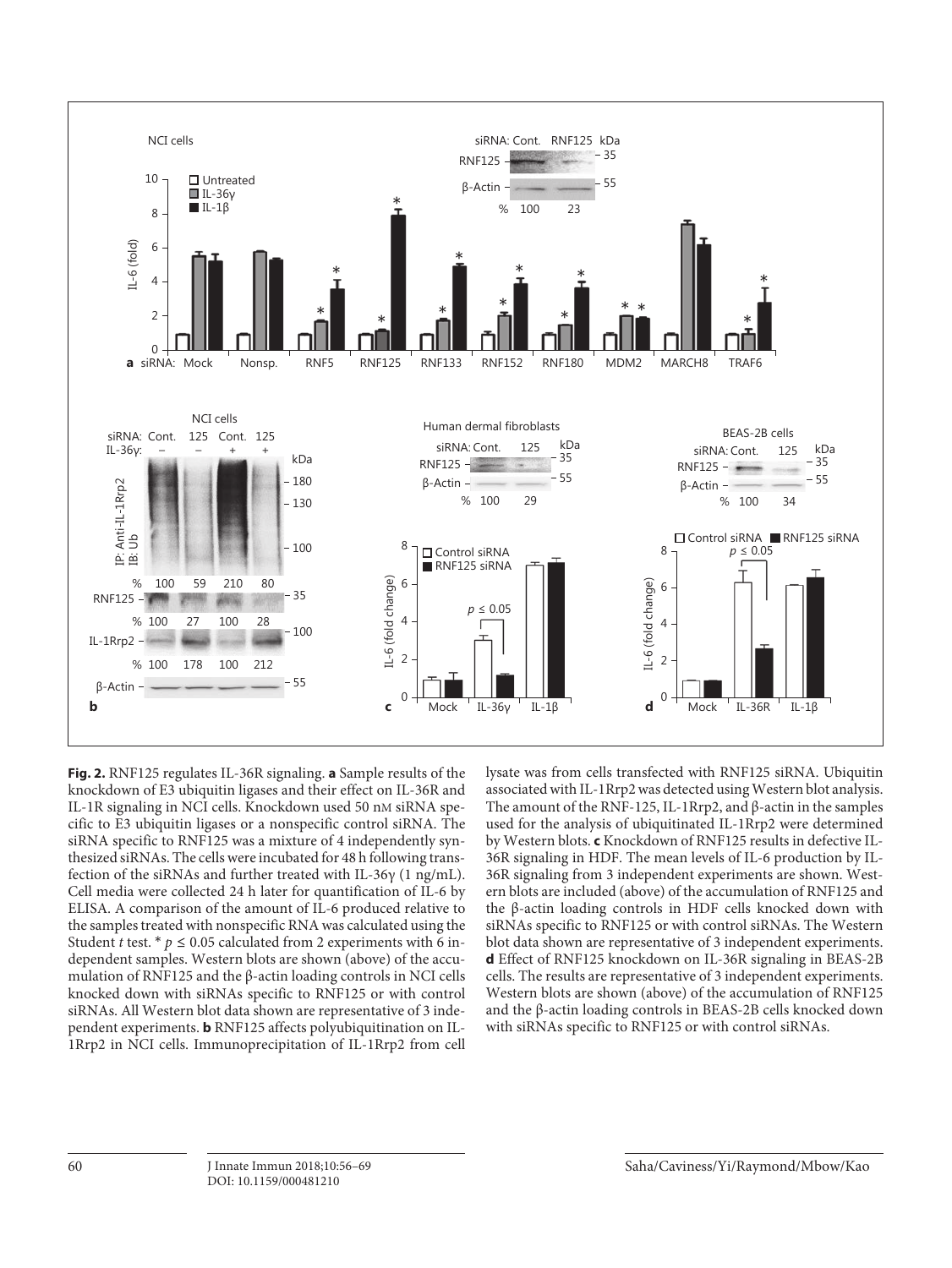

**Fig. 2.** RNF125 regulates IL-36R signaling. **a** Sample results of the knockdown of E3 ubiquitin ligases and their effect on IL-36R and IL-1R signaling in NCI cells. Knockdown used 50 nM siRNA specific to E3 ubiquitin ligases or a nonspecific control siRNA. The siRNA specific to RNF125 was a mixture of 4 independently synthesized siRNAs. The cells were incubated for 48 h following transfection of the siRNAs and further treated with IL-36γ (1 ng/mL). Cell media were collected 24 h later for quantification of IL-6 by ELISA. A comparison of the amount of IL-6 produced relative to the samples treated with nonspecific RNA was calculated using the Student t test. \*  $p \le 0.05$  calculated from 2 experiments with 6 independent samples. Western blots are shown (above) of the accumulation of RNF125 and the β-actin loading controls in NCI cells knocked down with siRNAs specific to RNF125 or with control siRNAs. All Western blot data shown are representative of 3 independent experiments. **b** RNF125 affects polyubiquitination on IL-1Rrp2 in NCI cells. Immunoprecipitation of IL-1Rrp2 from cell

lysate was from cells transfected with RNF125 siRNA. Ubiquitin associated with IL-1Rrp2 was detected using Western blot analysis. The amount of the RNF-125, IL-1Rrp2, and β-actin in the samples used for the analysis of ubiquitinated IL-1Rrp2 were determined by Western blots. **c** Knockdown of RNF125 results in defective IL-36R signaling in HDF. The mean levels of IL-6 production by IL-36R signaling from 3 independent experiments are shown. Western blots are included (above) of the accumulation of RNF125 and the β-actin loading controls in HDF cells knocked down with siRNAs specific to RNF125 or with control siRNAs. The Western blot data shown are representative of 3 independent experiments. **d** Effect of RNF125 knockdown on IL-36R signaling in BEAS-2B cells. The results are representative of 3 independent experiments. Western blots are shown (above) of the accumulation of RNF125 and the β-actin loading controls in BEAS-2B cells knocked down with siRNAs specific to RNF125 or with control siRNAs.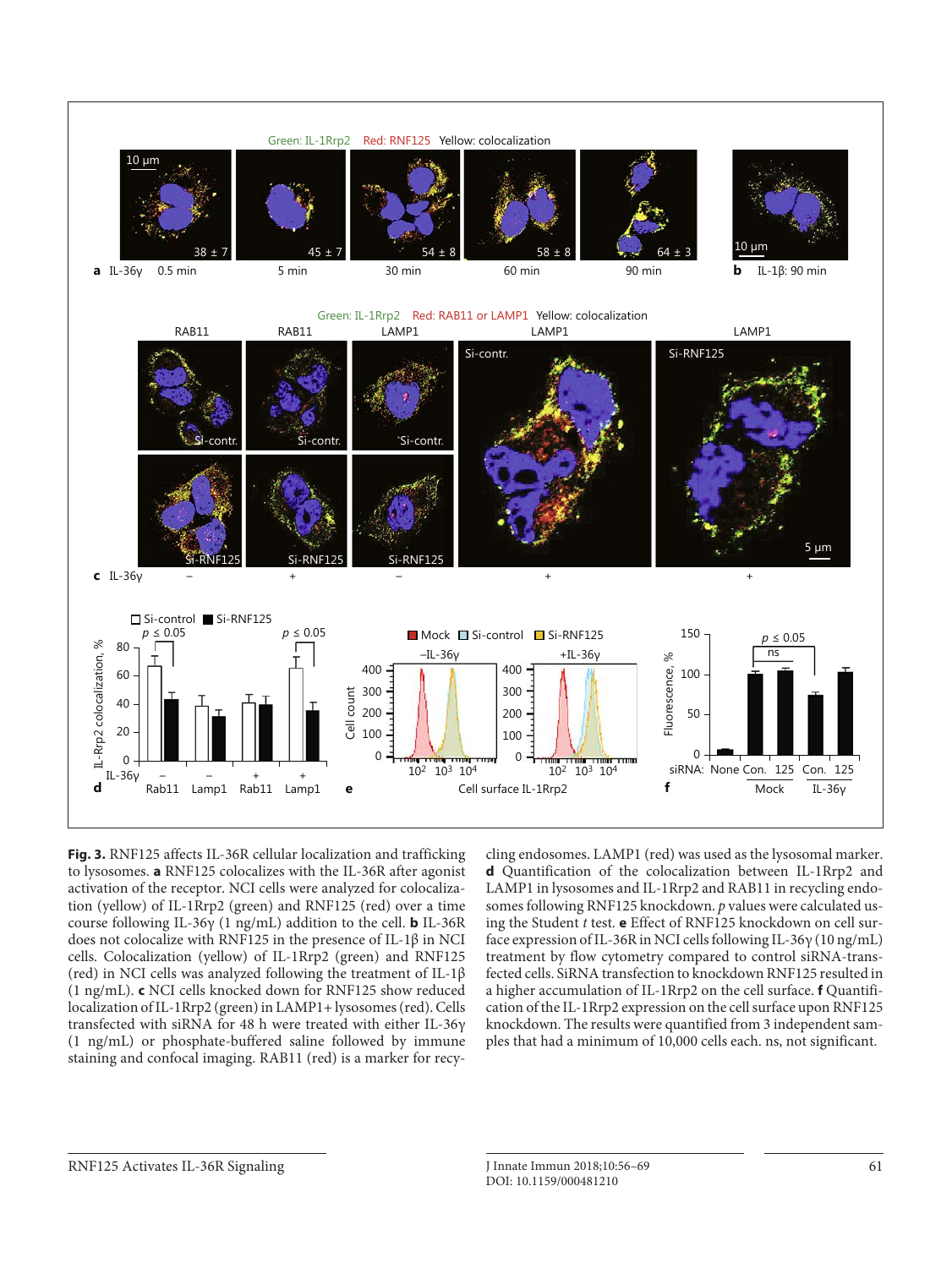

**Fig. 3.** RNF125 affects IL-36R cellular localization and trafficking to lysosomes. **a** RNF125 colocalizes with the IL-36R after agonist activation of the receptor. NCI cells were analyzed for colocalization (yellow) of IL-1Rrp2 (green) and RNF125 (red) over a time course following IL-36γ (1 ng/mL) addition to the cell. **b** IL-36R does not colocalize with RNF125 in the presence of IL-1β in NCI cells. Colocalization (yellow) of IL-1Rrp2 (green) and RNF125 (red) in NCI cells was analyzed following the treatment of IL-1β (1 ng/mL). **c** NCI cells knocked down for RNF125 show reduced localization of IL-1Rrp2 (green) in LAMP1+ lysosomes (red). Cells transfected with siRNA for 48 h were treated with either IL-36γ (1 ng/mL) or phosphate-buffered saline followed by immune staining and confocal imaging. RAB11 (red) is a marker for recycling endosomes. LAMP1 (red) was used as the lysosomal marker. **d** Quantification of the colocalization between IL-1Rrp2 and LAMP1 in lysosomes and IL-1Rrp2 and RAB11 in recycling endosomes following RNF125 knockdown. p values were calculated using the Student t test. **e** Effect of RNF125 knockdown on cell surface expression of IL-36R in NCI cells following IL-36γ (10 ng/mL) treatment by flow cytometry compared to control siRNA-transfected cells. SiRNA transfection to knockdown RNF125 resulted in a higher accumulation of IL-1Rrp2 on the cell surface. **f** Quantification of the IL-1Rrp2 expression on the cell surface upon RNF125 knockdown. The results were quantified from 3 independent samples that had a minimum of 10,000 cells each. ns, not significant.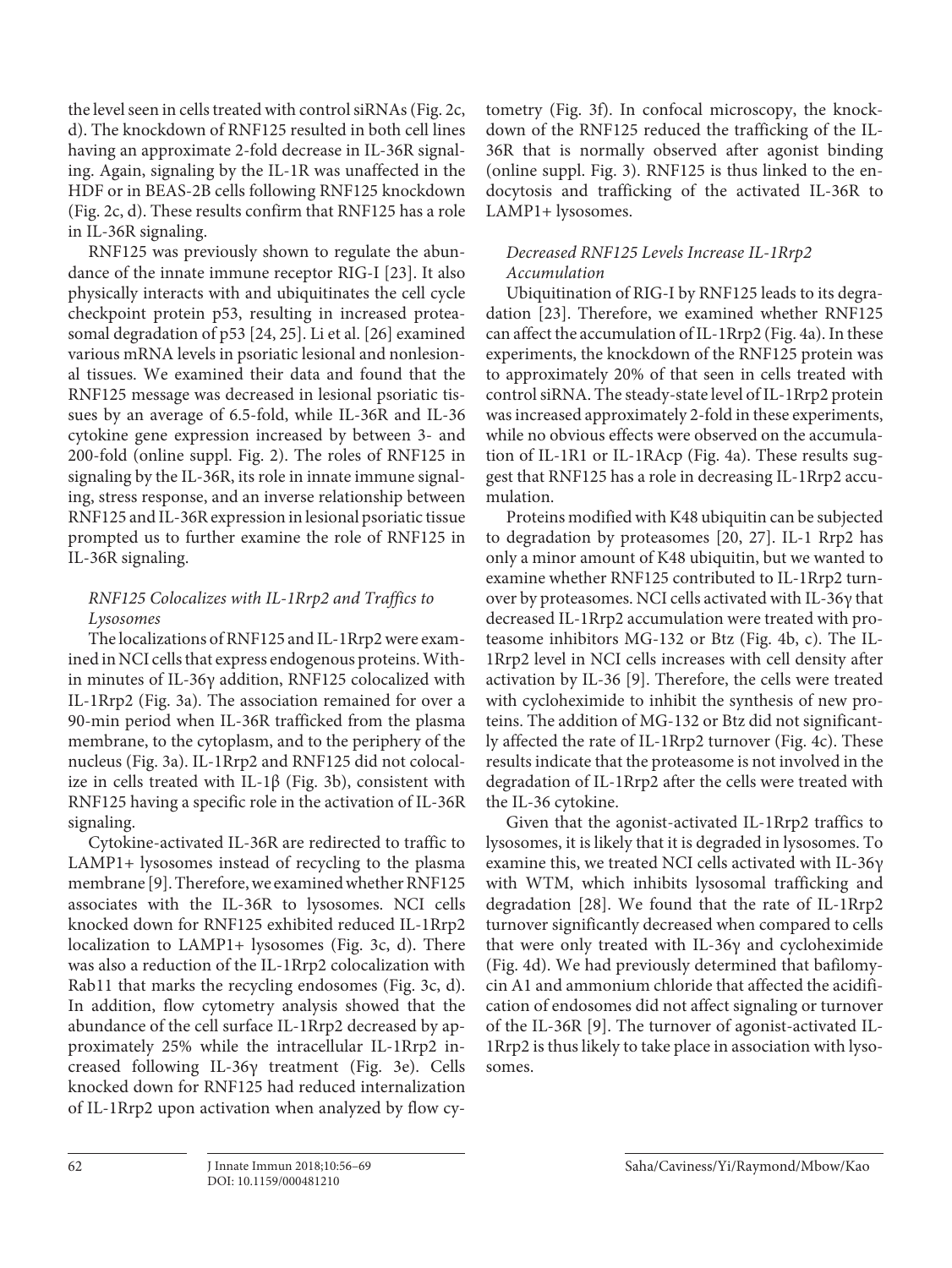the level seen in cells treated with control siRNAs (Fig. 2c, d). The knockdown of RNF125 resulted in both cell lines having an approximate 2-fold decrease in IL-36R signaling. Again, signaling by the IL-1R was unaffected in the HDF or in BEAS-2B cells following RNF125 knockdown (Fig. 2c, d). These results confirm that RNF125 has a role in IL-36R signaling.

RNF125 was previously shown to regulate the abundance of the innate immune receptor RIG-I [23]. It also physically interacts with and ubiquitinates the cell cycle checkpoint protein p53, resulting in increased proteasomal degradation of p53 [24, 25]. Li et al. [26] examined various mRNA levels in psoriatic lesional and nonlesional tissues. We examined their data and found that the RNF125 message was decreased in lesional psoriatic tissues by an average of 6.5-fold, while IL-36R and IL-36 cytokine gene expression increased by between 3- and 200-fold (online suppl. Fig. 2). The roles of RNF125 in signaling by the IL-36R, its role in innate immune signaling, stress response, and an inverse relationship between RNF125 and IL-36R expression in lesional psoriatic tissue prompted us to further examine the role of RNF125 in IL-36R signaling.

# RNF125 Colocalizes with IL-1Rrp2 and Traffics to Lysosomes

The localizations of RNF125 and IL-1Rrp2 were examined in NCI cells that express endogenous proteins. Within minutes of IL-36γ addition, RNF125 colocalized with IL-1Rrp2 (Fig. 3a). The association remained for over a 90-min period when IL-36R trafficked from the plasma membrane, to the cytoplasm, and to the periphery of the nucleus (Fig. 3a). IL-1Rrp2 and RNF125 did not colocalize in cells treated with IL-1β (Fig. 3b), consistent with RNF125 having a specific role in the activation of IL-36R signaling.

Cytokine-activated IL-36R are redirected to traffic to LAMP1+ lysosomes instead of recycling to the plasma membrane [9]. Therefore, we examined whether RNF125 associates with the IL-36R to lysosomes. NCI cells knocked down for RNF125 exhibited reduced IL-1Rrp2 localization to LAMP1+ lysosomes (Fig. 3c, d). There was also a reduction of the IL-1Rrp2 colocalization with Rab11 that marks the recycling endosomes (Fig. 3c, d). In addition, flow cytometry analysis showed that the abundance of the cell surface IL-1Rrp2 decreased by approximately 25% while the intracellular IL-1Rrp2 increased following IL-36γ treatment (Fig. 3e). Cells knocked down for RNF125 had reduced internalization of IL-1Rrp2 upon activation when analyzed by flow cytometry (Fig. 3f). In confocal microscopy, the knockdown of the RNF125 reduced the trafficking of the IL-36R that is normally observed after agonist binding (online suppl. Fig. 3). RNF125 is thus linked to the endocytosis and trafficking of the activated IL-36R to LAMP1+ lysosomes.

# Decreased RNF125 Levels Increase IL-1Rrp2 Accumulation

Ubiquitination of RIG-I by RNF125 leads to its degradation [23]. Therefore, we examined whether RNF125 can affect the accumulation of IL-1Rrp2 (Fig. 4a). In these experiments, the knockdown of the RNF125 protein was to approximately 20% of that seen in cells treated with control siRNA. The steady-state level of IL-1Rrp2 protein was increased approximately 2-fold in these experiments, while no obvious effects were observed on the accumulation of IL-1R1 or IL-1RAcp (Fig. 4a). These results suggest that RNF125 has a role in decreasing IL-1Rrp2 accumulation.

Proteins modified with K48 ubiquitin can be subjected to degradation by proteasomes [20, 27]. IL-1 Rrp2 has only a minor amount of K48 ubiquitin, but we wanted to examine whether RNF125 contributed to IL-1Rrp2 turnover by proteasomes. NCI cells activated with IL-36γ that decreased IL-1Rrp2 accumulation were treated with proteasome inhibitors MG-132 or Btz (Fig. 4b, c). The IL-1Rrp2 level in NCI cells increases with cell density after activation by IL-36 [9]. Therefore, the cells were treated with cycloheximide to inhibit the synthesis of new proteins. The addition of MG-132 or Btz did not significantly affected the rate of IL-1Rrp2 turnover (Fig. 4c). These results indicate that the proteasome is not involved in the degradation of IL-1Rrp2 after the cells were treated with the IL-36 cytokine.

Given that the agonist-activated IL-1Rrp2 traffics to lysosomes, it is likely that it is degraded in lysosomes. To examine this, we treated NCI cells activated with IL-36γ with WTM, which inhibits lysosomal trafficking and degradation [28]. We found that the rate of IL-1Rrp2 turnover significantly decreased when compared to cells that were only treated with IL-36γ and cycloheximide (Fig. 4d). We had previously determined that bafilomycin A1 and ammonium chloride that affected the acidification of endosomes did not affect signaling or turnover of the IL-36R [9]. The turnover of agonist-activated IL-1Rrp2 is thus likely to take place in association with lysosomes.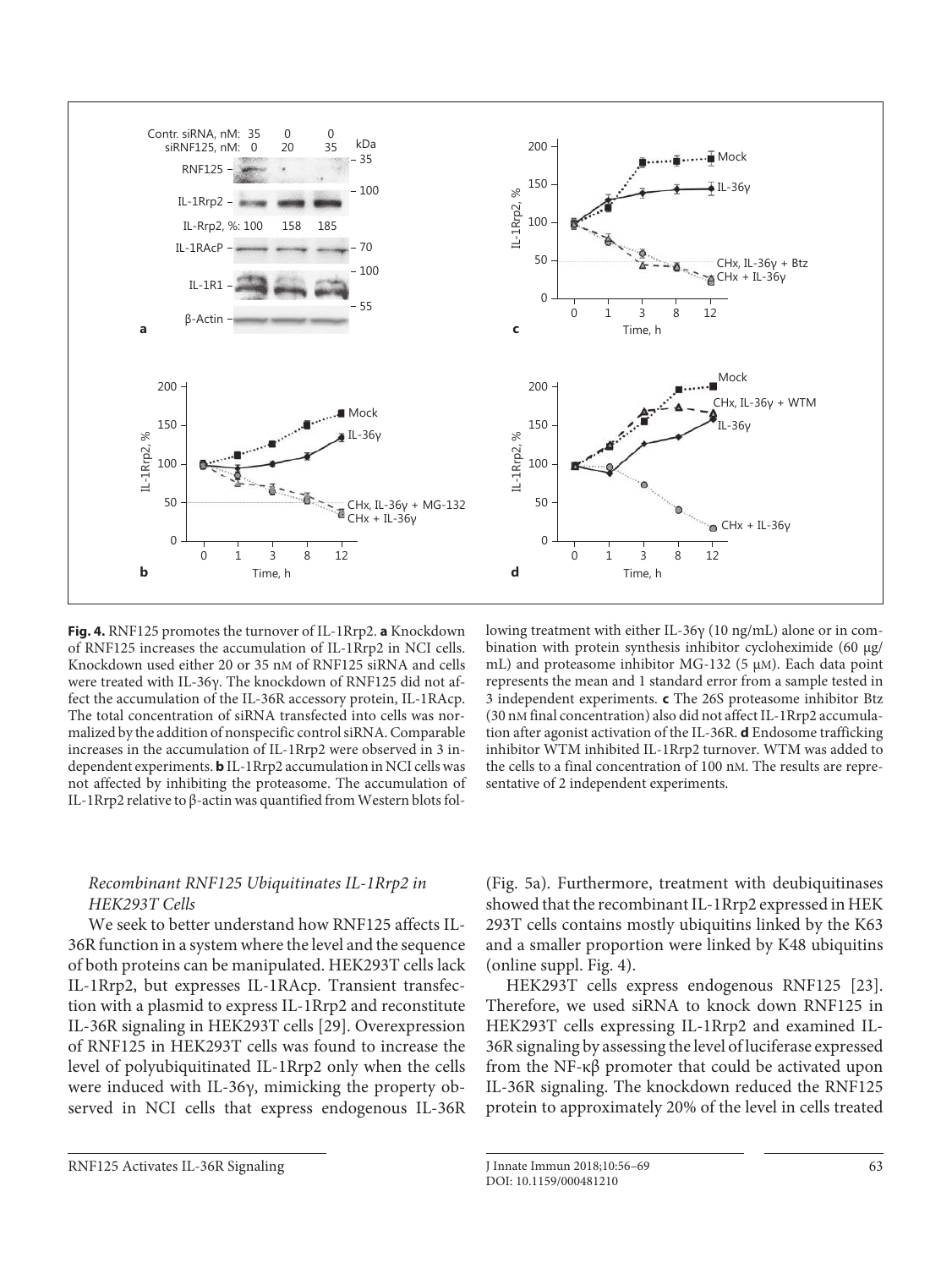

**Fig. 4.** RNF125 promotes the turnover of IL-1Rrp2. **a** Knockdown of RNF125 increases the accumulation of IL-1Rrp2 in NCI cells. Knockdown used either 20 or 35 nM of RNF125 siRNA and cells were treated with IL-36γ. The knockdown of RNF125 did not affect the accumulation of the IL-36R accessory protein, IL-1RAcp. The total concentration of siRNA transfected into cells was normalized by the addition of nonspecific control siRNA. Comparable increases in the accumulation of IL-1Rrp2 were observed in 3 independent experiments. **b** IL-1Rrp2 accumulation in NCI cells was not affected by inhibiting the proteasome. The accumulation of IL-1Rrp2 relative to β-actin was quantified from Western blots fol-

lowing treatment with either IL-36γ (10 ng/mL) alone or in combination with protein synthesis inhibitor cycloheximide (60 μg/ mL) and proteasome inhibitor MG-132 (5 μM). Each data point represents the mean and 1 standard error from a sample tested in 3 independent experiments. **c** The 26S proteasome inhibitor Btz (30 nM final concentration) also did not affect IL-1Rrp2 accumulation after agonist activation of the IL-36R. **d** Endosome trafficking inhibitor WTM inhibited IL-1Rrp2 turnover. WTM was added to the cells to a final concentration of 100 nM. The results are representative of 2 independent experiments.

# Recombinant RNF125 Ubiquitinates IL-1Rrp2 in HEK293T Cells

We seek to better understand how RNF125 affects IL-36R function in a system where the level and the sequence of both proteins can be manipulated. HEK293T cells lack IL-1Rrp2, but expresses IL-1RAcp. Transient transfection with a plasmid to express IL-1Rrp2 and reconstitute IL-36R signaling in HEK293T cells [29]. Overexpression of RNF125 in HEK293T cells was found to increase the level of polyubiquitinated IL-1Rrp2 only when the cells were induced with IL-36γ, mimicking the property observed in NCI cells that express endogenous IL-36R

(Fig. 5a). Furthermore, treatment with deubiquitinases showed that the recombinant IL-1Rrp2 expressed in HEK 293T cells contains mostly ubiquitins linked by the K63 and a smaller proportion were linked by K48 ubiquitins (online suppl. Fig. 4).

HEK293T cells express endogenous RNF125 [23]. Therefore, we used siRNA to knock down RNF125 in HEK293T cells expressing IL-1Rrp2 and examined IL-36R signaling by assessing the level of luciferase expressed from the NF-κβ promoter that could be activated upon IL-36R signaling. The knockdown reduced the RNF125 protein to approximately 20% of the level in cells treated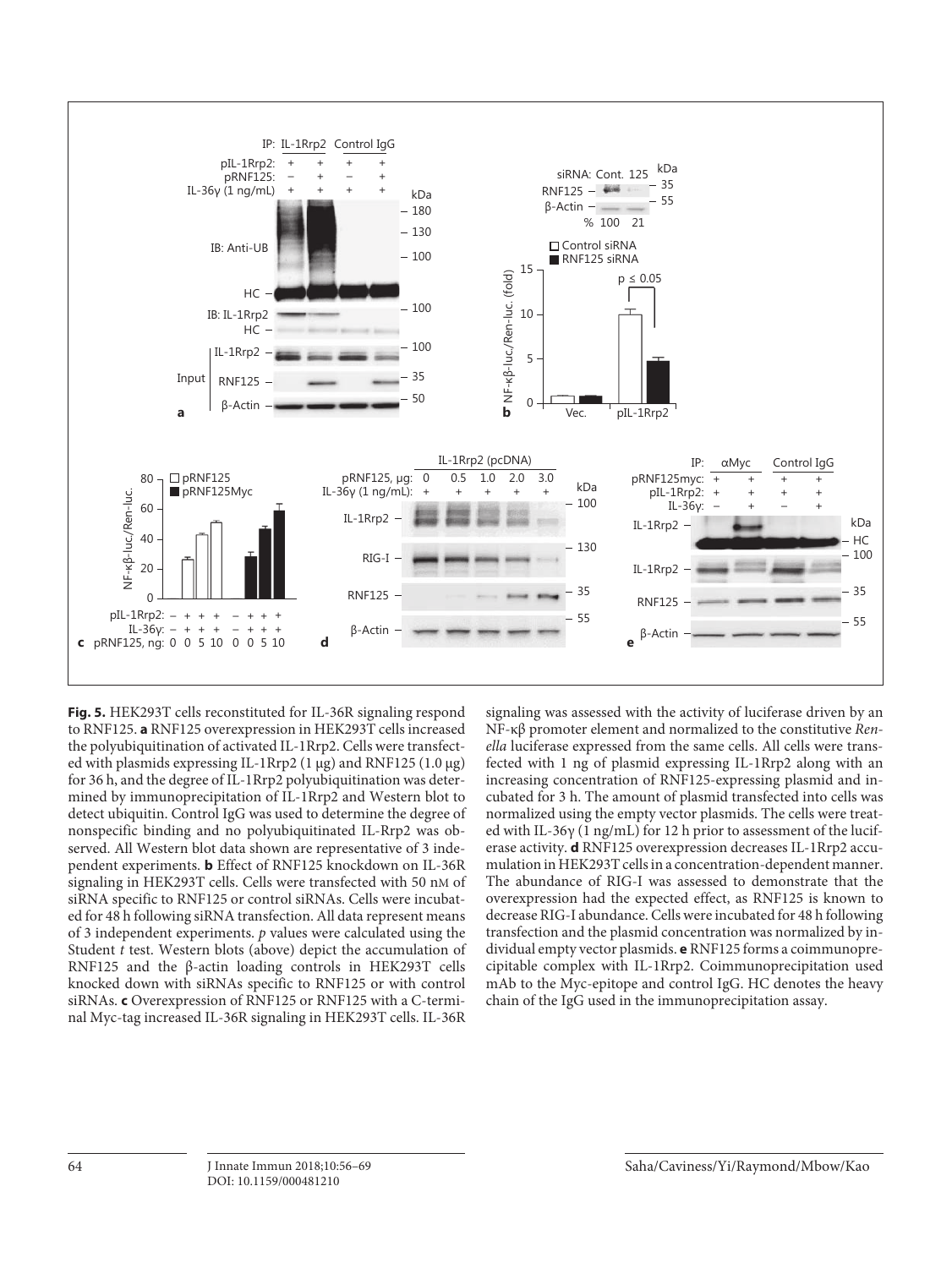

**Fig. 5.** HEK293T cells reconstituted for IL-36R signaling respond to RNF125. **a** RNF125 overexpression in HEK293T cells increased the polyubiquitination of activated IL-1Rrp2. Cells were transfected with plasmids expressing IL-1Rrp2 (1 μg) and RNF125 (1.0 μg) for 36 h, and the degree of IL-1Rrp2 polyubiquitination was determined by immunoprecipitation of IL-1Rrp2 and Western blot to detect ubiquitin. Control IgG was used to determine the degree of nonspecific binding and no polyubiquitinated IL-Rrp2 was observed. All Western blot data shown are representative of 3 independent experiments. **b** Effect of RNF125 knockdown on IL-36R signaling in HEK293T cells. Cells were transfected with 50 nM of siRNA specific to RNF125 or control siRNAs. Cells were incubated for 48 h following siRNA transfection. All data represent means of 3 independent experiments.  $p$  values were calculated using the Student t test. Western blots (above) depict the accumulation of RNF125 and the β-actin loading controls in HEK293T cells knocked down with siRNAs specific to RNF125 or with control siRNAs. **c** Overexpression of RNF125 or RNF125 with a C-terminal Myc-tag increased IL-36R signaling in HEK293T cells. IL-36R

signaling was assessed with the activity of luciferase driven by an NF-κβ promoter element and normalized to the constitutive Renella luciferase expressed from the same cells. All cells were transfected with 1 ng of plasmid expressing IL-1Rrp2 along with an increasing concentration of RNF125-expressing plasmid and incubated for 3 h. The amount of plasmid transfected into cells was normalized using the empty vector plasmids. The cells were treated with IL-36γ (1 ng/mL) for 12 h prior to assessment of the luciferase activity. **d** RNF125 overexpression decreases IL-1Rrp2 accumulation in HEK293T cells in a concentration-dependent manner. The abundance of RIG-I was assessed to demonstrate that the overexpression had the expected effect, as RNF125 is known to decrease RIG-I abundance. Cells were incubated for 48 h following transfection and the plasmid concentration was normalized by individual empty vector plasmids. **e** RNF125 forms a coimmunoprecipitable complex with IL-1Rrp2. Coimmunoprecipitation used mAb to the Myc-epitope and control IgG. HC denotes the heavy chain of the IgG used in the immunoprecipitation assay.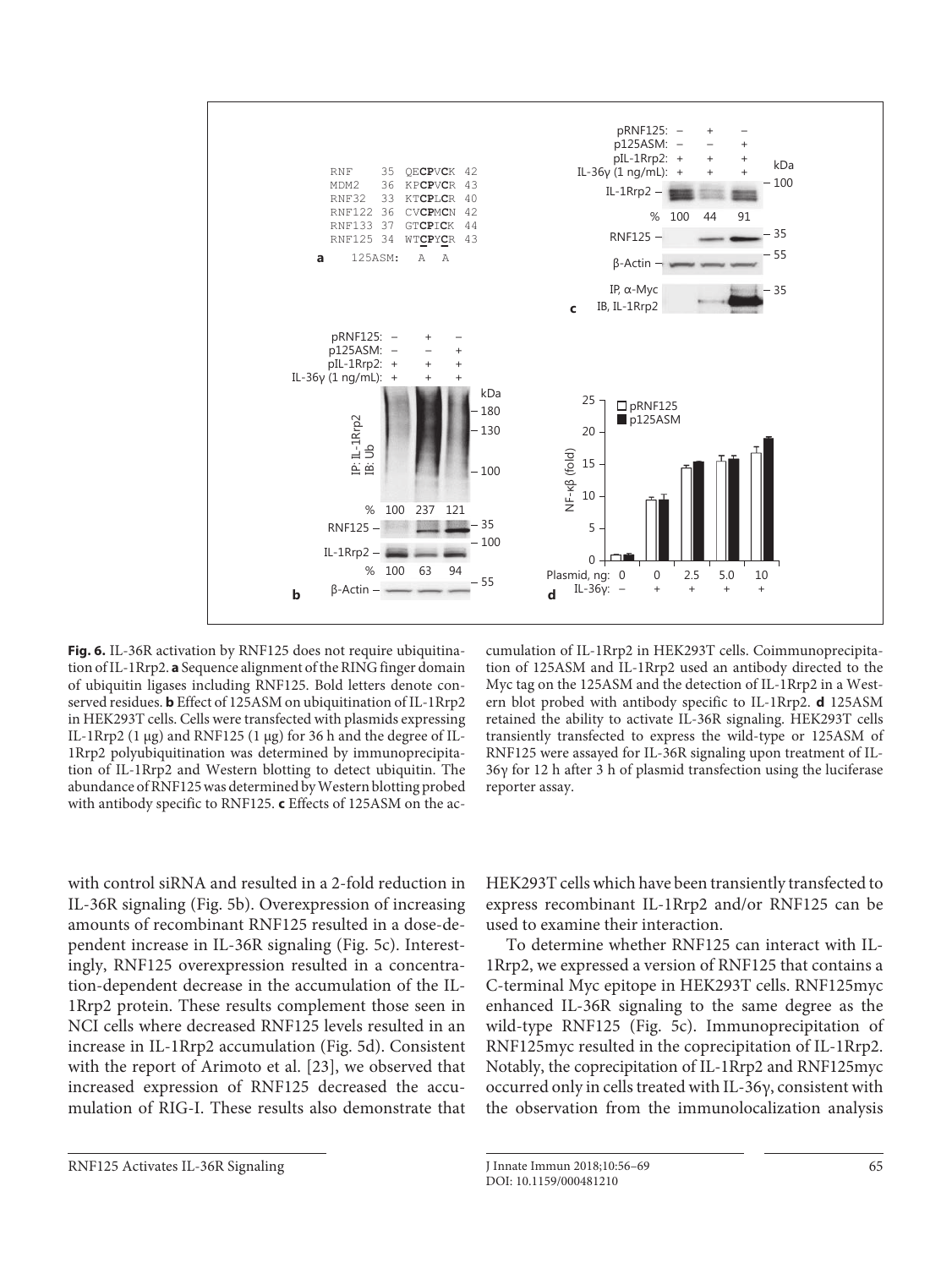

**Fig. 6.** IL-36R activation by RNF125 does not require ubiquitination of IL-1Rrp2. **a** Sequence alignment of the RING finger domain of ubiquitin ligases including RNF125. Bold letters denote conserved residues. **b** Effect of 125ASM on ubiquitination of IL-1Rrp2 in HEK293T cells. Cells were transfected with plasmids expressing IL-1Rrp2 (1 μg) and RNF125 (1 μg) for 36 h and the degree of IL-1Rrp2 polyubiquitination was determined by immunoprecipitation of IL-1Rrp2 and Western blotting to detect ubiquitin. The abundance of RNF125 was determined by Western blotting probed with antibody specific to RNF125. **c** Effects of 125ASM on the ac-

with control siRNA and resulted in a 2-fold reduction in IL-36R signaling (Fig. 5b). Overexpression of increasing amounts of recombinant RNF125 resulted in a dose-dependent increase in IL-36R signaling (Fig. 5c). Interestingly, RNF125 overexpression resulted in a concentration-dependent decrease in the accumulation of the IL-1Rrp2 protein. These results complement those seen in NCI cells where decreased RNF125 levels resulted in an increase in IL-1Rrp2 accumulation (Fig. 5d). Consistent with the report of Arimoto et al. [23], we observed that increased expression of RNF125 decreased the accumulation of RIG-I. These results also demonstrate that

cumulation of IL-1Rrp2 in HEK293T cells. Coimmunoprecipitation of 125ASM and IL-1Rrp2 used an antibody directed to the Myc tag on the 125ASM and the detection of IL-1Rrp2 in a Western blot probed with antibody specific to IL-1Rrp2. **d** 125ASM retained the ability to activate IL-36R signaling. HEK293T cells transiently transfected to express the wild-type or 125ASM of RNF125 were assayed for IL-36R signaling upon treatment of IL-36γ for 12 h after 3 h of plasmid transfection using the luciferase reporter assay.

HEK293T cells which have been transiently transfected to express recombinant IL-1Rrp2 and/or RNF125 can be used to examine their interaction.

To determine whether RNF125 can interact with IL-1Rrp2, we expressed a version of RNF125 that contains a C-terminal Myc epitope in HEK293T cells. RNF125myc enhanced IL-36R signaling to the same degree as the wild-type RNF125 (Fig. 5c). Immunoprecipitation of RNF125myc resulted in the coprecipitation of IL-1Rrp2. Notably, the coprecipitation of IL-1Rrp2 and RNF125myc occurred only in cells treated with IL-36γ, consistent with the observation from the immunolocalization analysis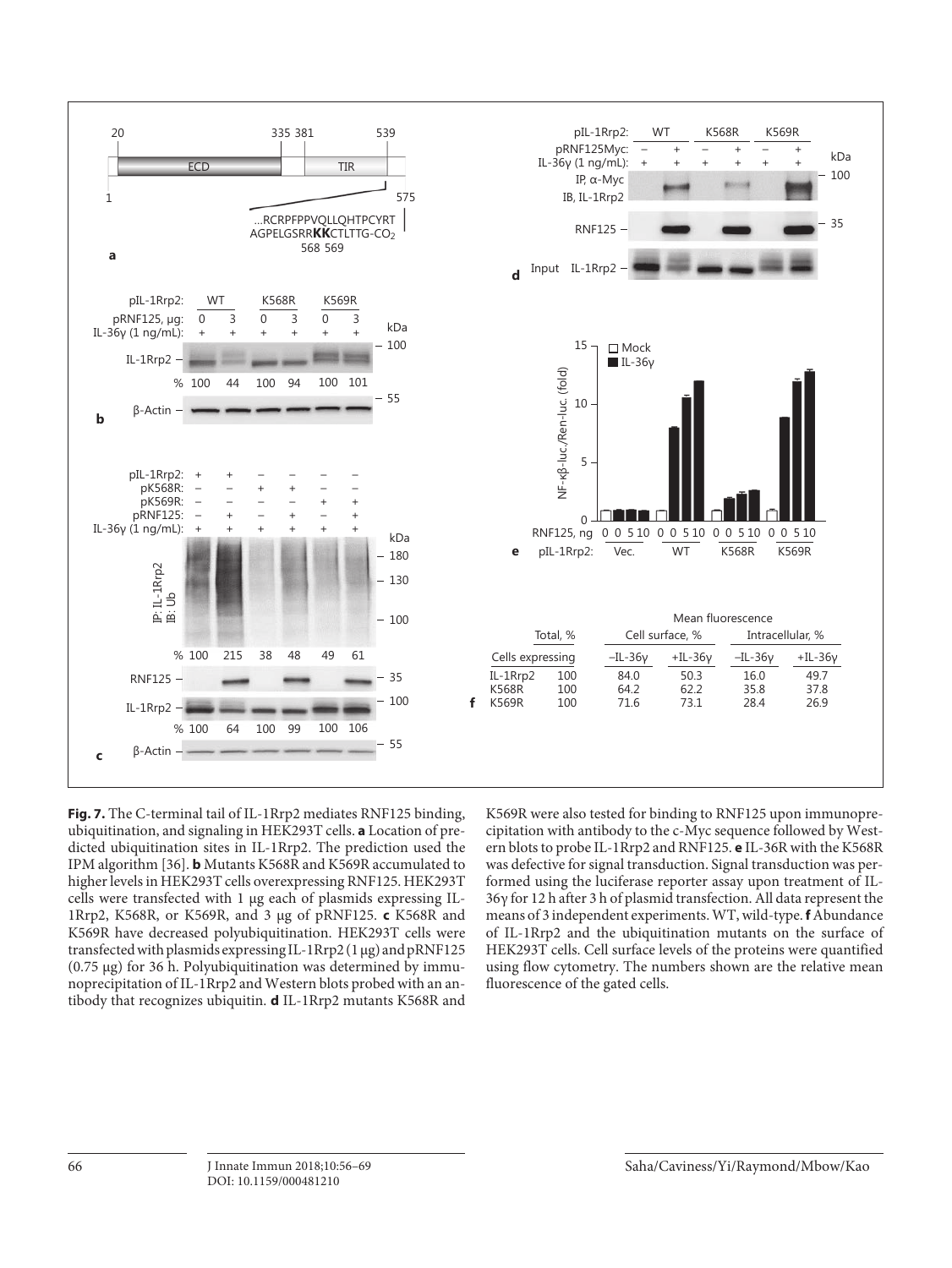

**Fig. 7.** The C-terminal tail of IL-1Rrp2 mediates RNF125 binding, ubiquitination, and signaling in HEK293T cells. **a** Location of predicted ubiquitination sites in IL-1Rrp2. The prediction used the IPM algorithm [36]. **b** Mutants K568R and K569R accumulated to higher levels in HEK293T cells overexpressing RNF125. HEK293T cells were transfected with 1 μg each of plasmids expressing IL-1Rrp2, K568R, or K569R, and 3 μg of pRNF125. **c** K568R and K569R have decreased polyubiquitination. HEK293T cells were transfected with plasmids expressing IL-1Rrp2 (1 μg) and pRNF125 (0.75 μg) for 36 h. Polyubiquitination was determined by immunoprecipitation of IL-1Rrp2 and Western blots probed with an antibody that recognizes ubiquitin. **d** IL-1Rrp2 mutants K568R and

K569R were also tested for binding to RNF125 upon immunoprecipitation with antibody to the c-Myc sequence followed by Western blots to probe IL-1Rrp2 and RNF125. **e** IL-36R with the K568R was defective for signal transduction. Signal transduction was performed using the luciferase reporter assay upon treatment of IL-36γ for 12 h after 3 h of plasmid transfection. All data represent the means of 3 independent experiments. WT, wild-type. **f** Abundance of IL-1Rrp2 and the ubiquitination mutants on the surface of HEK293T cells. Cell surface levels of the proteins were quantified using flow cytometry. The numbers shown are the relative mean fluorescence of the gated cells.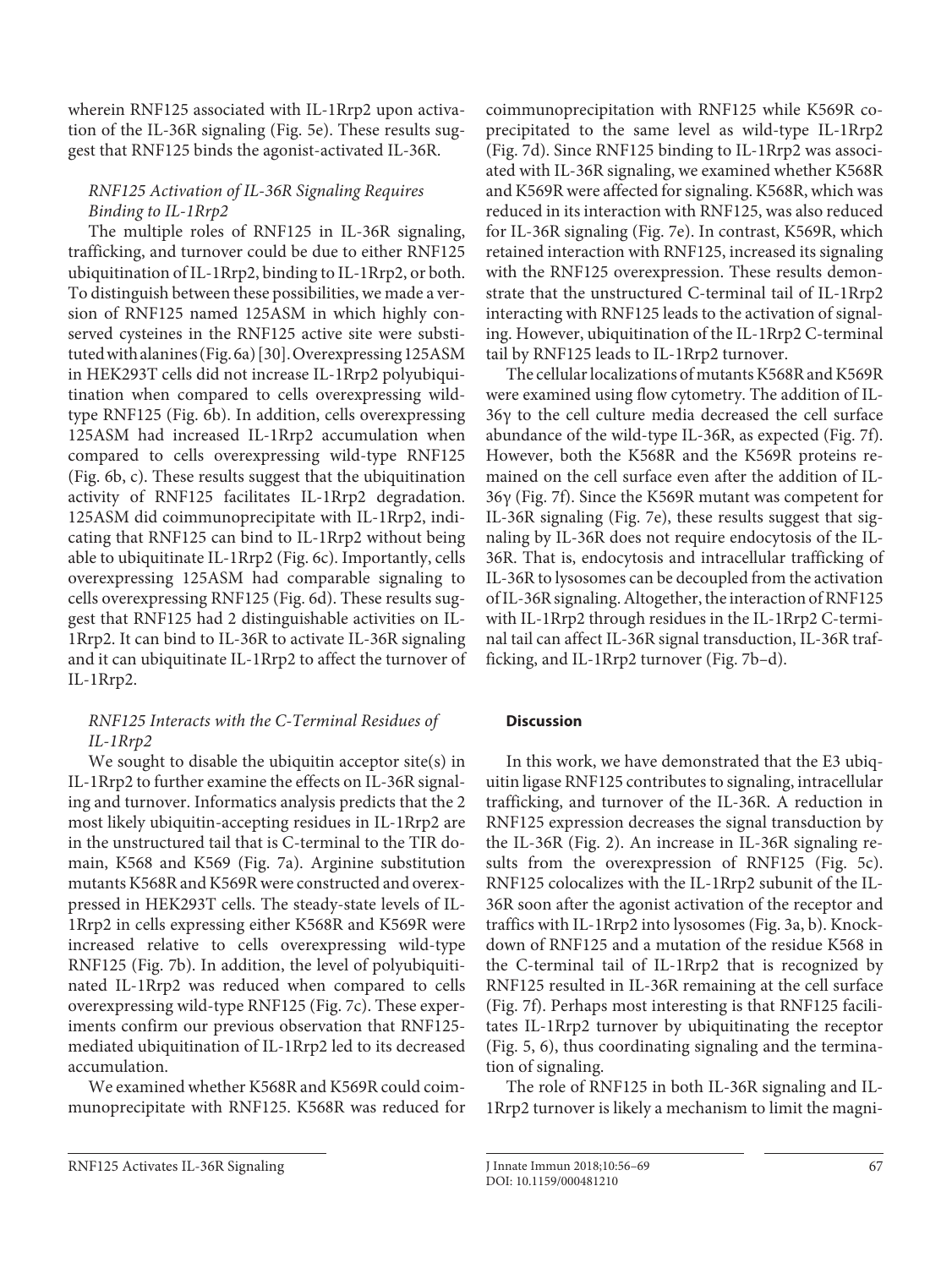wherein RNF125 associated with IL-1Rrp2 upon activation of the IL-36R signaling (Fig. 5e). These results suggest that RNF125 binds the agonist-activated IL-36R.

# RNF125 Activation of IL-36R Signaling Requires Binding to IL-1Rrp2

The multiple roles of RNF125 in IL-36R signaling, trafficking, and turnover could be due to either RNF125 ubiquitination of IL-1Rrp2, binding to IL-1Rrp2, or both. To distinguish between these possibilities, we made a version of RNF125 named 125ASM in which highly conserved cysteines in the RNF125 active site were substituted with alanines (Fig. 6a) [30]. Overexpressing 125ASM in HEK293T cells did not increase IL-1Rrp2 polyubiquitination when compared to cells overexpressing wildtype RNF125 (Fig. 6b). In addition, cells overexpressing 125ASM had increased IL-1Rrp2 accumulation when compared to cells overexpressing wild-type RNF125 (Fig. 6b, c). These results suggest that the ubiquitination activity of RNF125 facilitates IL-1Rrp2 degradation. 125ASM did coimmunoprecipitate with IL-1Rrp2, indicating that RNF125 can bind to IL-1Rrp2 without being able to ubiquitinate IL-1Rrp2 (Fig. 6c). Importantly, cells overexpressing 125ASM had comparable signaling to cells overexpressing RNF125 (Fig. 6d). These results suggest that RNF125 had 2 distinguishable activities on IL-1Rrp2. It can bind to IL-36R to activate IL-36R signaling and it can ubiquitinate IL-1Rrp2 to affect the turnover of IL-1Rrp2.

# RNF125 Interacts with the C-Terminal Residues of IL-1Rrp2

We sought to disable the ubiquitin acceptor site(s) in IL-1Rrp2 to further examine the effects on IL-36R signaling and turnover. Informatics analysis predicts that the 2 most likely ubiquitin-accepting residues in IL-1Rrp2 are in the unstructured tail that is C-terminal to the TIR domain, K568 and K569 (Fig. 7a). Arginine substitution mutants K568R and K569R were constructed and overexpressed in HEK293T cells. The steady-state levels of IL-1Rrp2 in cells expressing either K568R and K569R were increased relative to cells overexpressing wild-type RNF125 (Fig. 7b). In addition, the level of polyubiquitinated IL-1Rrp2 was reduced when compared to cells overexpressing wild-type RNF125 (Fig. 7c). These experiments confirm our previous observation that RNF125 mediated ubiquitination of IL-1Rrp2 led to its decreased accumulation.

We examined whether K568R and K569R could coimmunoprecipitate with RNF125. K568R was reduced for coimmunoprecipitation with RNF125 while K569R coprecipitated to the same level as wild-type IL-1Rrp2 (Fig. 7d). Since RNF125 binding to IL-1Rrp2 was associated with IL-36R signaling, we examined whether K568R and K569R were affected for signaling. Κ568R, which was reduced in its interaction with RNF125, was also reduced for IL-36R signaling (Fig. 7e). In contrast, K569R, which retained interaction with RNF125, increased its signaling with the RNF125 overexpression. These results demonstrate that the unstructured C-terminal tail of IL-1Rrp2 interacting with RNF125 leads to the activation of signaling. However, ubiquitination of the IL-1Rrp2 C-terminal tail by RNF125 leads to IL-1Rrp2 turnover.

The cellular localizations of mutants K568R and K569R were examined using flow cytometry. The addition of IL-36γ to the cell culture media decreased the cell surface abundance of the wild-type IL-36R, as expected (Fig. 7f). However, both the K568R and the K569R proteins remained on the cell surface even after the addition of IL-36γ (Fig. 7f). Since the K569R mutant was competent for IL-36R signaling (Fig. 7e), these results suggest that signaling by IL-36R does not require endocytosis of the IL-36R. That is, endocytosis and intracellular trafficking of IL-36R to lysosomes can be decoupled from the activation of IL-36R signaling. Altogether, the interaction of RNF125 with IL-1Rrp2 through residues in the IL-1Rrp2 C-terminal tail can affect IL-36R signal transduction, IL-36R trafficking, and IL-1Rrp2 turnover (Fig. 7b–d).

## **Discussion**

In this work, we have demonstrated that the E3 ubiquitin ligase RNF125 contributes to signaling, intracellular trafficking, and turnover of the IL-36R. A reduction in RNF125 expression decreases the signal transduction by the IL-36R (Fig. 2). An increase in IL-36R signaling results from the overexpression of RNF125 (Fig. 5c). RNF125 colocalizes with the IL-1Rrp2 subunit of the IL-36R soon after the agonist activation of the receptor and traffics with IL-1Rrp2 into lysosomes (Fig. 3a, b). Knockdown of RNF125 and a mutation of the residue K568 in the C-terminal tail of IL-1Rrp2 that is recognized by RNF125 resulted in IL-36R remaining at the cell surface (Fig. 7f). Perhaps most interesting is that RNF125 facilitates IL-1Rrp2 turnover by ubiquitinating the receptor (Fig. 5, 6), thus coordinating signaling and the termination of signaling.

The role of RNF125 in both IL-36R signaling and IL-1Rrp2 turnover is likely a mechanism to limit the magni-

RNF125 Activates IL-36R Signaling J Innate Immun 2018;10:56-69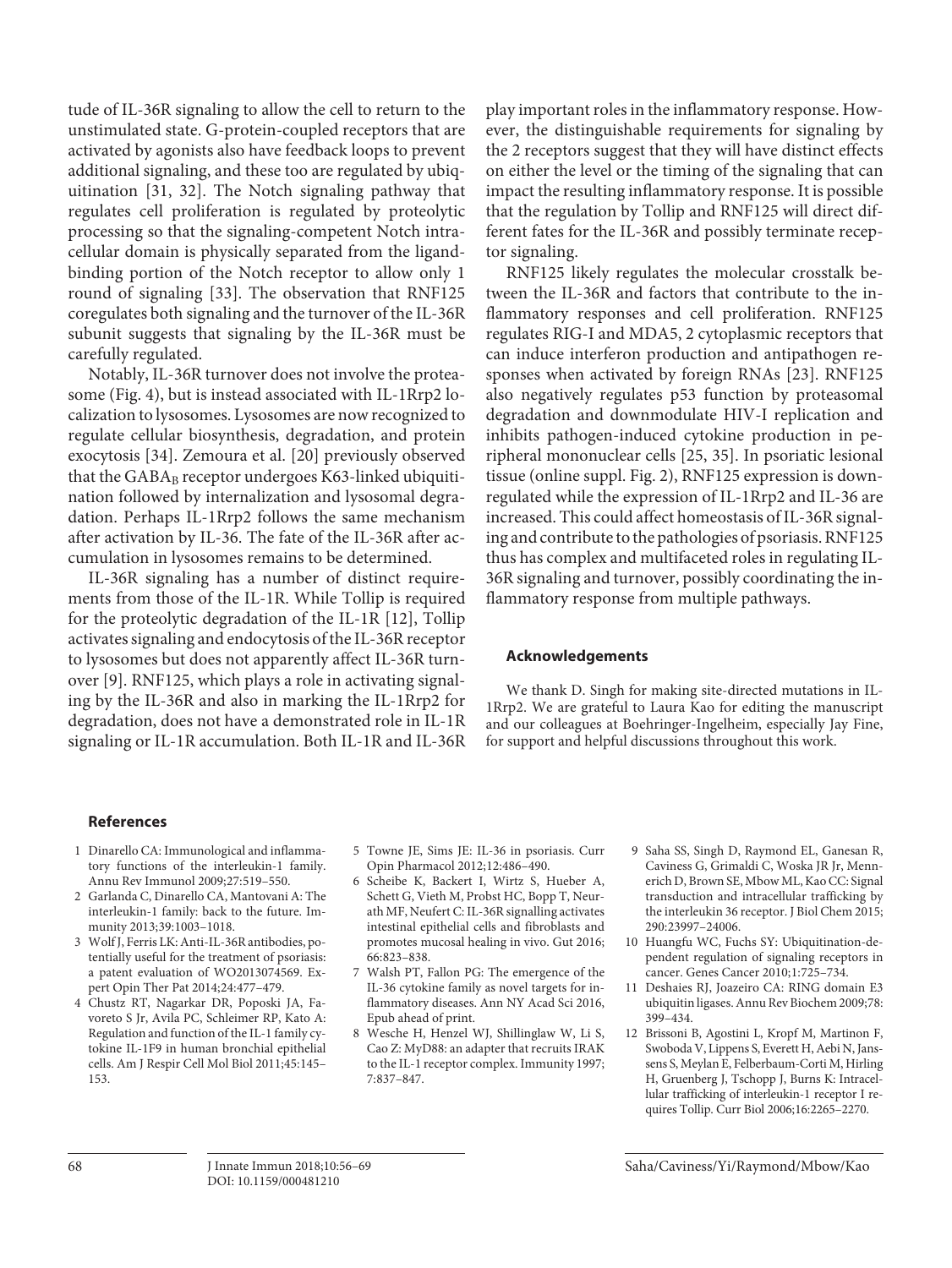tude of IL-36R signaling to allow the cell to return to the unstimulated state. G-protein-coupled receptors that are activated by agonists also have feedback loops to prevent additional signaling, and these too are regulated by ubiquitination [31, 32]. The Notch signaling pathway that regulates cell proliferation is regulated by proteolytic processing so that the signaling-competent Notch intracellular domain is physically separated from the ligandbinding portion of the Notch receptor to allow only 1 round of signaling [33]. The observation that RNF125 coregulates both signaling and the turnover of the IL-36R subunit suggests that signaling by the IL-36R must be carefully regulated.

Notably, IL-36R turnover does not involve the proteasome (Fig. 4), but is instead associated with IL-1Rrp2 localization to lysosomes. Lysosomes are now recognized to regulate cellular biosynthesis, degradation, and protein exocytosis [34]. Zemoura et al. [20] previously observed that the  $GABA_B$  receptor undergoes K63-linked ubiquitination followed by internalization and lysosomal degradation. Perhaps IL-1Rrp2 follows the same mechanism after activation by IL-36. The fate of the IL-36R after accumulation in lysosomes remains to be determined.

IL-36R signaling has a number of distinct requirements from those of the IL-1R. While Tollip is required for the proteolytic degradation of the IL-1R [12], Tollip activates signaling and endocytosis of the IL-36R receptor to lysosomes but does not apparently affect IL-36R turnover [9]. RNF125, which plays a role in activating signaling by the IL-36R and also in marking the IL-1Rrp2 for degradation, does not have a demonstrated role in IL-1R signaling or IL-1R accumulation. Both IL-1R and IL-36R play important roles in the inflammatory response. However, the distinguishable requirements for signaling by the 2 receptors suggest that they will have distinct effects on either the level or the timing of the signaling that can impact the resulting inflammatory response. It is possible that the regulation by Tollip and RNF125 will direct different fates for the IL-36R and possibly terminate receptor signaling.

RNF125 likely regulates the molecular crosstalk between the IL-36R and factors that contribute to the inflammatory responses and cell proliferation. RNF125 regulates RIG-I and MDA5, 2 cytoplasmic receptors that can induce interferon production and antipathogen responses when activated by foreign RNAs [23]. RNF125 also negatively regulates p53 function by proteasomal degradation and downmodulate HIV-I replication and inhibits pathogen-induced cytokine production in peripheral mononuclear cells [25, 35]. In psoriatic lesional tissue (online suppl. Fig. 2), RNF125 expression is downregulated while the expression of IL-1Rrp2 and IL-36 are increased. This could affect homeostasis of IL-36R signaling and contribute to the pathologies of psoriasis. RNF125 thus has complex and multifaceted roles in regulating IL-36R signaling and turnover, possibly coordinating the inflammatory response from multiple pathways.

## **Acknowledgements**

We thank D. Singh for making site-directed mutations in IL-1Rrp2. We are grateful to Laura Kao for editing the manuscript and our colleagues at Boehringer-Ingelheim, especially Jay Fine, for support and helpful discussions throughout this work.

## **References**

- 1 Dinarello CA: Immunological and inflammatory functions of the interleukin-1 family. Annu Rev Immunol 2009;27:519–550.
- 2 Garlanda C, Dinarello CA, Mantovani A: The interleukin-1 family: back to the future. Immunity 2013;39:1003–1018.
- 3 Wolf J, Ferris LK: Anti-IL-36R antibodies, potentially useful for the treatment of psoriasis: a patent evaluation of WO2013074569. Expert Opin Ther Pat 2014;24:477–479.
- 4 Chustz RT, Nagarkar DR, Poposki JA, Favoreto S Jr, Avila PC, Schleimer RP, Kato A: Regulation and function of the IL-1 family cytokine IL-1F9 in human bronchial epithelial cells. Am J Respir Cell Mol Biol 2011;45:145– 153.
- 5 Towne JE, Sims JE: IL-36 in psoriasis. Curr Opin Pharmacol 2012;12:486–490.
- 6 Scheibe K, Backert I, Wirtz S, Hueber A, Schett G, Vieth M, Probst HC, Bopp T, Neurath MF, Neufert C: IL-36R signalling activates intestinal epithelial cells and fibroblasts and promotes mucosal healing in vivo. Gut 2016; 66:823–838.
- 7 Walsh PT, Fallon PG: The emergence of the IL-36 cytokine family as novel targets for inflammatory diseases. Ann NY Acad Sci 2016, Epub ahead of print.
- 8 Wesche H, Henzel WJ, Shillinglaw W, Li S, Cao Z: MyD88: an adapter that recruits IRAK to the IL-1 receptor complex. Immunity 1997; 7:837–847.
- 9 Saha SS, Singh D, Raymond EL, Ganesan R, Caviness G, Grimaldi C, Woska JR Jr, Mennerich D, Brown SE, Mbow ML, Kao CC: Signal transduction and intracellular trafficking by the interleukin 36 receptor. J Biol Chem 2015; 290:23997–24006.
- 10 Huangfu WC, Fuchs SY: Ubiquitination-dependent regulation of signaling receptors in cancer. Genes Cancer 2010;1:725–734.
- 11 Deshaies RJ, Joazeiro CA: RING domain E3 ubiquitin ligases. Annu Rev Biochem 2009;78: 399–434.
- 12 Brissoni B, Agostini L, Kropf M, Martinon F, Swoboda V, Lippens S, Everett H, Aebi N, Janssens S, Meylan E, Felberbaum-Corti M, Hirling H, Gruenberg J, Tschopp J, Burns K: Intracellular trafficking of interleukin-1 receptor I requires Tollip. Curr Biol 2006;16:2265–2270.